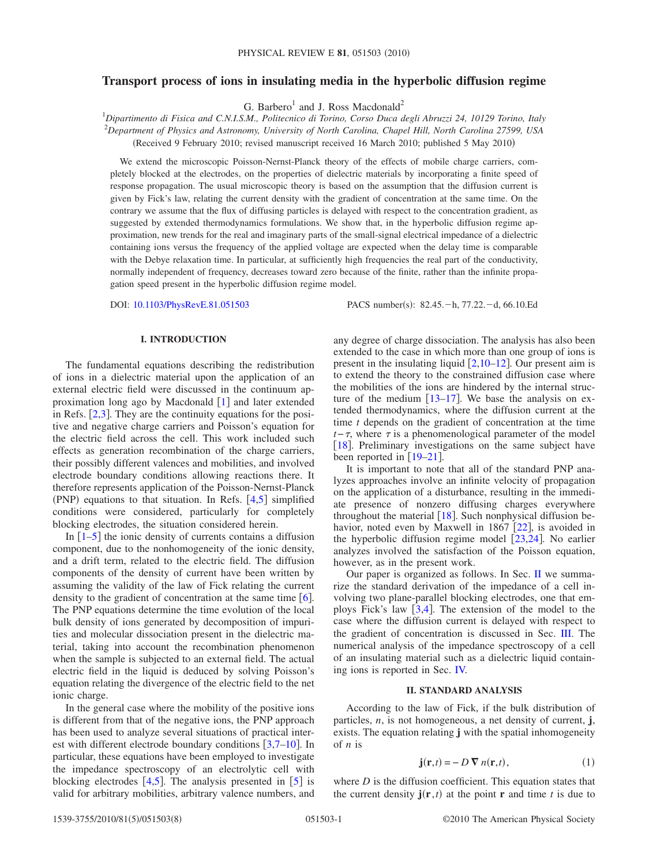# **Transport process of ions in insulating media in the hyperbolic diffusion regime**

G. Barbero<sup>1</sup> and J. Ross Macdonald<sup>2</sup>

1 *Dipartimento di Fisica and C.N.I.S.M., Politecnico di Torino, Corso Duca degli Abruzzi 24, 10129 Torino, Italy* 2 *Department of Physics and Astronomy, University of North Carolina, Chapel Hill, North Carolina 27599, USA* Received 9 February 2010; revised manuscript received 16 March 2010; published 5 May 2010-

We extend the microscopic Poisson-Nernst-Planck theory of the effects of mobile charge carriers, completely blocked at the electrodes, on the properties of dielectric materials by incorporating a finite speed of response propagation. The usual microscopic theory is based on the assumption that the diffusion current is given by Fick's law, relating the current density with the gradient of concentration at the same time. On the contrary we assume that the flux of diffusing particles is delayed with respect to the concentration gradient, as suggested by extended thermodynamics formulations. We show that, in the hyperbolic diffusion regime approximation, new trends for the real and imaginary parts of the small-signal electrical impedance of a dielectric containing ions versus the frequency of the applied voltage are expected when the delay time is comparable with the Debye relaxation time. In particular, at sufficiently high frequencies the real part of the conductivity, normally independent of frequency, decreases toward zero because of the finite, rather than the infinite propagation speed present in the hyperbolic diffusion regime model.

DOI: [10.1103/PhysRevE.81.051503](http://dx.doi.org/10.1103/PhysRevE.81.051503)

PACS number(s):  $82.45.-h$ , 77.22. -d, 66.10.Ed

# **I. INTRODUCTION**

The fundamental equations describing the redistribution of ions in a dielectric material upon the application of an external electric field were discussed in the continuum approximation long ago by Macdonald  $\lceil 1 \rceil$  $\lceil 1 \rceil$  $\lceil 1 \rceil$  and later extended in Refs.  $[2,3]$  $[2,3]$  $[2,3]$  $[2,3]$ . They are the continuity equations for the positive and negative charge carriers and Poisson's equation for the electric field across the cell. This work included such effects as generation recombination of the charge carriers, their possibly different valences and mobilities, and involved electrode boundary conditions allowing reactions there. It therefore represents application of the Poisson-Nernst-Planck (PNP) equations to that situation. In Refs.  $[4,5]$  $[4,5]$  $[4,5]$  $[4,5]$  simplified conditions were considered, particularly for completely blocking electrodes, the situation considered herein.

In  $\lceil 1-5 \rceil$  $\lceil 1-5 \rceil$  $\lceil 1-5 \rceil$  the ionic density of currents contains a diffusion component, due to the nonhomogeneity of the ionic density, and a drift term, related to the electric field. The diffusion components of the density of current have been written by assuming the validity of the law of Fick relating the current density to the gradient of concentration at the same time  $\lceil 6 \rceil$  $\lceil 6 \rceil$  $\lceil 6 \rceil$ . The PNP equations determine the time evolution of the local bulk density of ions generated by decomposition of impurities and molecular dissociation present in the dielectric material, taking into account the recombination phenomenon when the sample is subjected to an external field. The actual electric field in the liquid is deduced by solving Poisson's equation relating the divergence of the electric field to the net ionic charge.

In the general case where the mobility of the positive ions is different from that of the negative ions, the PNP approach has been used to analyze several situations of practical interest with different electrode boundary conditions  $\left[3,7-\frac{10}{10}\right]$  $\left[3,7-\frac{10}{10}\right]$  $\left[3,7-\frac{10}{10}\right]$  $\left[3,7-\frac{10}{10}\right]$  $\left[3,7-\frac{10}{10}\right]$ . In particular, these equations have been employed to investigate the impedance spectroscopy of an electrolytic cell with blocking electrodes  $[4,5]$  $[4,5]$  $[4,5]$  $[4,5]$ . The analysis presented in  $[5]$  $[5]$  $[5]$  is valid for arbitrary mobilities, arbitrary valence numbers, and any degree of charge dissociation. The analysis has also been extended to the case in which more than one group of ions is present in the insulating liquid  $[2,10-12]$  $[2,10-12]$  $[2,10-12]$  $[2,10-12]$  $[2,10-12]$ . Our present aim is to extend the theory to the constrained diffusion case where the mobilities of the ions are hindered by the internal structure of the medium  $[13-17]$  $[13-17]$  $[13-17]$ . We base the analysis on extended thermodynamics, where the diffusion current at the time *t* depends on the gradient of concentration at the time  $t-\tau$ , where  $\tau$  is a phenomenological parameter of the model [[18](#page-7-11)]. Preliminary investigations on the same subject have been reported in  $\lceil 19-21 \rceil$  $\lceil 19-21 \rceil$  $\lceil 19-21 \rceil$ .

It is important to note that all of the standard PNP analyzes approaches involve an infinite velocity of propagation on the application of a disturbance, resulting in the immediate presence of nonzero diffusing charges everywhere throughout the material  $\lceil 18 \rceil$  $\lceil 18 \rceil$  $\lceil 18 \rceil$ . Such nonphysical diffusion behavior, noted even by Maxwell in  $1867$  [[22](#page-7-14)], is avoided in the hyperbolic diffusion regime model  $[23,24]$  $[23,24]$  $[23,24]$  $[23,24]$ . No earlier analyzes involved the satisfaction of the Poisson equation, however, as in the present work.

Our paper is organized as follows. In Sec. [II](#page-0-0) we summarize the standard derivation of the impedance of a cell involving two plane-parallel blocking electrodes, one that employs Fick's law  $\lceil 3, 4 \rceil$  $\lceil 3, 4 \rceil$  $\lceil 3, 4 \rceil$ . The extension of the model to the case where the diffusion current is delayed with respect to the gradient of concentration is discussed in Sec. [III.](#page-2-0) The numerical analysis of the impedance spectroscopy of a cell of an insulating material such as a dielectric liquid containing ions is reported in Sec. [IV.](#page-3-0)

# **II. STANDARD ANALYSIS**

<span id="page-0-0"></span>According to the law of Fick, if the bulk distribution of particles, *n*, is not homogeneous, a net density of current, **j**, exists. The equation relating **j** with the spatial inhomogeneity of *n* is

$$
\mathbf{j}(\mathbf{r},t) = -D \nabla n(\mathbf{r},t),\tag{1}
$$

<span id="page-0-1"></span>where *D* is the diffusion coefficient. This equation states that the current density  $\mathbf{j}(\mathbf{r},t)$  at the point **r** and time *t* is due to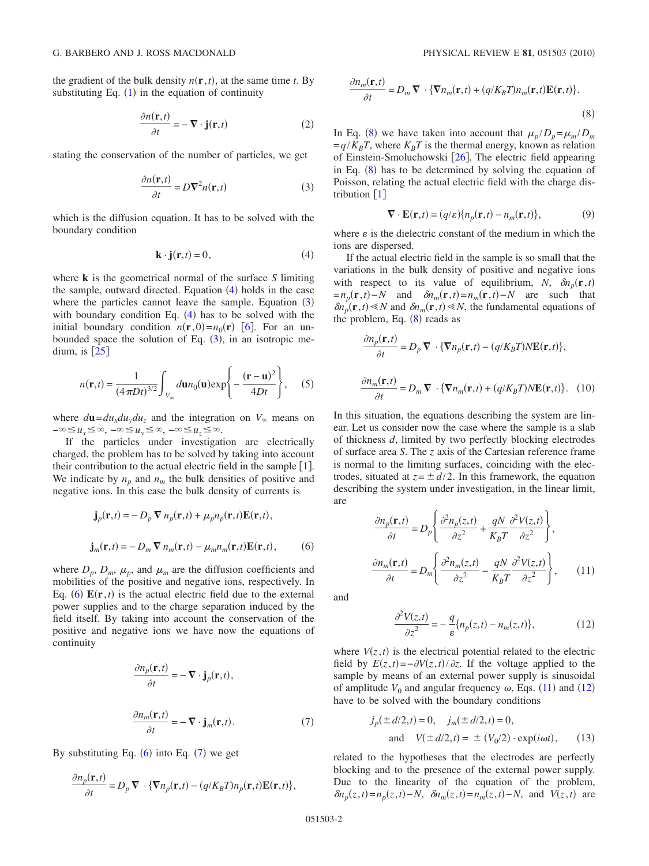<span id="page-1-8"></span>the gradient of the bulk density  $n(\mathbf{r}, t)$ , at the same time *t*. By substituting Eq.  $(1)$  $(1)$  $(1)$  in the equation of continuity

$$
\frac{\partial n(\mathbf{r},t)}{\partial t} = -\nabla \cdot \mathbf{j}(\mathbf{r},t)
$$
 (2)

<span id="page-1-1"></span>stating the conservation of the number of particles, we get

$$
\frac{\partial n(\mathbf{r},t)}{\partial t} = D\nabla^2 n(\mathbf{r},t)
$$
 (3)

which is the diffusion equation. It has to be solved with the boundary condition

$$
\mathbf{k} \cdot \mathbf{j}(\mathbf{r},t) = 0,\tag{4}
$$

<span id="page-1-0"></span>where **k** is the geometrical normal of the surface *S* limiting the sample, outward directed. Equation  $(4)$  $(4)$  $(4)$  holds in the case where the particles cannot leave the sample. Equation  $(3)$  $(3)$  $(3)$ with boundary condition Eq.  $(4)$  $(4)$  $(4)$  has to be solved with the initial boundary condition  $n(\mathbf{r}, 0) = n_0(\mathbf{r})$  [[6](#page-7-5)]. For an unbounded space the solution of Eq.  $(3)$  $(3)$  $(3)$ , in an isotropic medium, is  $[25]$  $[25]$  $[25]$ 

<span id="page-1-7"></span>
$$
n(\mathbf{r},t) = \frac{1}{(4\pi Dt)^{3/2}} \int_{V_{\infty}} d\mathbf{u} n_0(\mathbf{u}) \exp\left\{-\frac{(\mathbf{r} - \mathbf{u})^2}{4Dt}\right\},\quad (5)
$$

where  $d\mathbf{u} = du_x du_y du_z$  and the integration on  $V_\infty$  means on  $-\infty \le u_x \le \infty$ ,  $-\infty \le u_y \le \infty$ ,  $-\infty \le u_z \le \infty$ .

If the particles under investigation are electrically charged, the problem has to be solved by taking into account their contribution to the actual electric field in the sample  $[1]$  $[1]$  $[1]$ . We indicate by  $n_p$  and  $n_m$  the bulk densities of positive and negative ions. In this case the bulk density of currents is

<span id="page-1-2"></span>
$$
\mathbf{j}_p(\mathbf{r},t) = -D_p \nabla n_p(\mathbf{r},t) + \mu_p n_p(\mathbf{r},t) \mathbf{E}(\mathbf{r},t),
$$
  

$$
\mathbf{j}_m(\mathbf{r},t) = -D_m \nabla n_m(\mathbf{r},t) - \mu_m n_m(\mathbf{r},t) \mathbf{E}(\mathbf{r},t),
$$
 (6)

where  $D_p$ ,  $D_m$ ,  $\mu_p$ , and  $\mu_m$  are the diffusion coefficients and mobilities of the positive and negative ions, respectively. In Eq. ([6](#page-1-2))  $E(\mathbf{r}, t)$  is the actual electric field due to the external power supplies and to the charge separation induced by the field itself. By taking into account the conservation of the positive and negative ions we have now the equations of continuity

<span id="page-1-3"></span>
$$
\frac{\partial n_p(\mathbf{r},t)}{\partial t} = -\nabla \cdot \mathbf{j}_p(\mathbf{r},t),
$$

$$
\frac{\partial n_m(\mathbf{r},t)}{\partial t} = -\nabla \cdot \mathbf{j}_m(\mathbf{r},t).
$$
(7)

By substituting Eq.  $(6)$  $(6)$  $(6)$  into Eq.  $(7)$  $(7)$  $(7)$  we get

<span id="page-1-4"></span>
$$
\frac{\partial n_p(\mathbf{r},t)}{\partial t} = D_p \, \mathbf{\nabla} \cdot \{ \mathbf{\nabla} n_p(\mathbf{r},t) - (q/K_B T) n_p(\mathbf{r},t) \mathbf{E}(\mathbf{r},t) \},
$$

$$
\frac{\partial n_m(\mathbf{r},t)}{\partial t} = D_m \nabla \cdot \{ \nabla n_m(\mathbf{r},t) + (q/K_B T) n_m(\mathbf{r},t) \mathbf{E}(\mathbf{r},t) \}.
$$
\n(8)

In Eq. ([8](#page-1-4)) we have taken into account that  $\mu_p/D_p = \mu_m/D_m$  $=q/K_B T$ , where  $K_B T$  is the thermal energy, known as relation of Einstein-Smoluchowski  $[26]$  $[26]$  $[26]$ . The electric field appearing in Eq.  $(8)$  $(8)$  $(8)$  has to be determined by solving the equation of Poisson, relating the actual electric field with the charge distribution  $\lceil 1 \rceil$  $\lceil 1 \rceil$  $\lceil 1 \rceil$ 

$$
\nabla \cdot \mathbf{E}(\mathbf{r},t) = (q/\varepsilon) \{ n_p(\mathbf{r},t) - n_m(\mathbf{r},t) \},
$$
(9)

where  $\varepsilon$  is the dielectric constant of the medium in which the ions are dispersed.

If the actual electric field in the sample is so small that the variations in the bulk density of positive and negative ions with respect to its value of equilibrium, *N*,  $\delta n_p(\mathbf{r}, t)$  $=n_p(\mathbf{r}, t) - N$  and  $\delta n_m(\mathbf{r}, t) = n_m(\mathbf{r}, t) - N$  are such that  $\delta n_p(\mathbf{r}, t) \ll N$  and  $\delta n_m(\mathbf{r}, t) \ll N$ , the fundamental equations of the problem, Eq.  $(8)$  $(8)$  $(8)$  reads as

$$
\frac{\partial n_p(\mathbf{r},t)}{\partial t} = D_p \nabla \cdot \{ \nabla n_p(\mathbf{r},t) - (q/K_B T) N \mathbf{E}(\mathbf{r},t) \},
$$
  

$$
\frac{\partial n_m(\mathbf{r},t)}{\partial t} = D_m \nabla \cdot \{ \nabla n_m(\mathbf{r},t) + (q/K_B T) N \mathbf{E}(\mathbf{r},t) \}. \quad (10)
$$

In this situation, the equations describing the system are linear. Let us consider now the case where the sample is a slab of thickness *d*, limited by two perfectly blocking electrodes of surface area *S*. The *z* axis of the Cartesian reference frame is normal to the limiting surfaces, coinciding with the electrodes, situated at  $z = \pm d/2$ . In this framework, the equation describing the system under investigation, in the linear limit, are

$$
\frac{\partial n_p(\mathbf{r},t)}{\partial t} = D_p \left\{ \frac{\partial^2 n_p(z,t)}{\partial z^2} + \frac{qN}{K_B T} \frac{\partial^2 V(z,t)}{\partial z^2} \right\},\
$$

$$
\frac{\partial n_m(\mathbf{r},t)}{\partial t} = D_m \left\{ \frac{\partial^2 n_m(z,t)}{\partial z^2} - \frac{qN}{K_B T} \frac{\partial^2 V(z,t)}{\partial z^2} \right\},\
$$
(11)

<span id="page-1-6"></span><span id="page-1-5"></span>and

$$
\frac{\partial^2 V(z,t)}{\partial z^2} = -\frac{q}{\varepsilon} \{ n_p(z,t) - n_m(z,t) \},\tag{12}
$$

where  $V(z, t)$  is the electrical potential related to the electric field by  $E(z,t) = -\partial V(z,t)/\partial z$ . If the voltage applied to the sample by means of an external power supply is sinusoidal of amplitude  $V_0$  and angular frequency  $\omega$ , Eqs. ([11](#page-1-5)) and ([12](#page-1-6)) have to be solved with the boundary conditions

<span id="page-1-9"></span>
$$
j_p(\pm d/2, t) = 0
$$
,  $j_m(\pm d/2, t) = 0$ ,  
and  $V(\pm d/2, t) = \pm (V_0/2) \cdot \exp(i\omega t)$ , (13)

related to the hypotheses that the electrodes are perfectly blocking and to the presence of the external power supply. Due to the linearity of the equation of the problem,  $\delta n_p(z, t) = n_p(z, t) - N$ ,  $\delta n_m(z, t) = n_m(z, t) - N$ , and  $V(z, t)$  are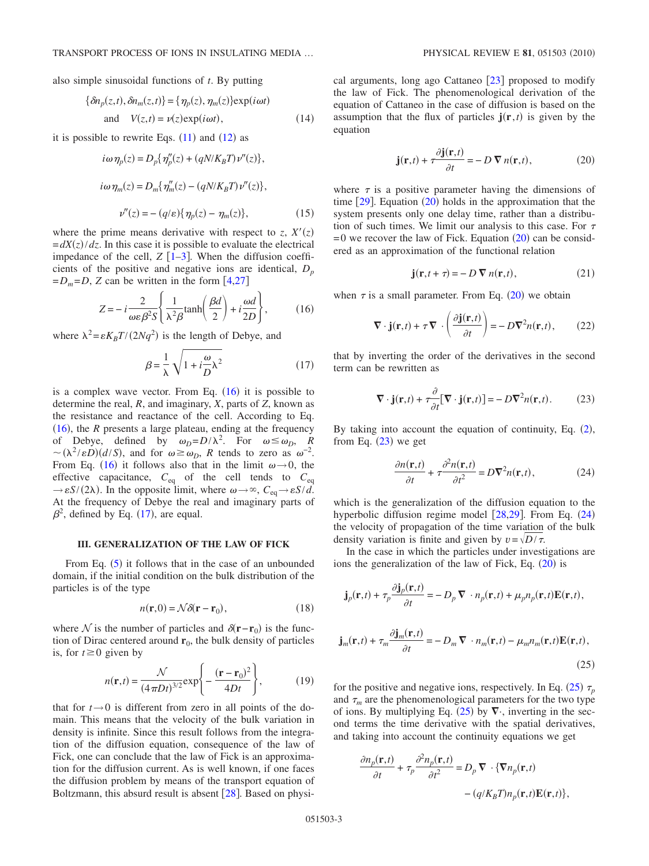<span id="page-2-8"></span>also simple sinusoidal functions of *t*. By putting

$$
\{\delta n_p(z,t), \delta n_m(z,t)\} = \{\eta_p(z), \eta_m(z)\} \exp(i\omega t)
$$
  
and  $V(z,t) = \nu(z) \exp(i\omega t)$ , (14)

<span id="page-2-9"></span>it is possible to rewrite Eqs.  $(11)$  $(11)$  $(11)$  and  $(12)$  $(12)$  $(12)$  as

$$
i\omega \eta_p(z) = D_p\{\eta_p''(z) + (qN/K_B T)\nu''(z)\},\,
$$

$$
i\omega\eta_m(z) = D_m\{\eta_m''(z) - (qN/K_BT)\nu''(z)\},\,
$$

$$
\nu''(z) = -(q/\varepsilon)\{\eta_p(z) - \eta_m(z)\},\tag{15}
$$

where the prime means derivative with respect to *z*,  $X'(z)$  $= dX(z)/dz$ . In this case it is possible to evaluate the electrical impedance of the cell,  $Z$   $\lceil 1-3 \rceil$  $\lceil 1-3 \rceil$  $\lceil 1-3 \rceil$ . When the diffusion coefficients of the positive and negative ions are identical,  $D_n$  $=D_m = D$ , *Z* can be written in the form [[4](#page-7-3)[,27](#page-7-19)]

$$
Z = -i\frac{2}{\omega\varepsilon\beta^2 S} \left\{ \frac{1}{\lambda^2 \beta} \tanh\left(\frac{\beta d}{2}\right) + i\frac{\omega d}{2D} \right\},\tag{16}
$$

<span id="page-2-2"></span><span id="page-2-1"></span>where  $\lambda^2 = \varepsilon K_B T / (2Nq^2)$  is the length of Debye, and

$$
\beta = \frac{1}{\lambda} \sqrt{1 + i \frac{\omega}{D} \lambda^2}
$$
 (17)

is a complex wave vector. From Eq.  $(16)$  $(16)$  $(16)$  it is possible to determine the real, *R*, and imaginary, *X*, parts of *Z*, known as the resistance and reactance of the cell. According to Eq.  $(16)$  $(16)$  $(16)$ , the *R* presents a large plateau, ending at the frequency of Debye, defined by  $\omega_D = D/\lambda^2$ . For  $\omega \le \omega_D$ , *R*  $\sim (\lambda^2 / \varepsilon D)(d/S)$ , and for  $\omega \ge \omega_D$ , *R* tends to zero as  $\omega^{-2}$ . From Eq. ([16](#page-2-1)) it follows also that in the limit  $\omega \rightarrow 0$ , the effective capacitance, *C*eq of the cell tends to *C*eq  $\rightarrow \varepsilon S/(2\lambda)$ . In the opposite limit, where  $\omega \rightarrow \infty$ ,  $C_{eq} \rightarrow \varepsilon S/d$ . At the frequency of Debye the real and imaginary parts of  $\beta^2$ , defined by Eq. ([17](#page-2-2)), are equal.

### **III. GENERALIZATION OF THE LAW OF FICK**

<span id="page-2-0"></span>From Eq.  $(5)$  $(5)$  $(5)$  it follows that in the case of an unbounded domain, if the initial condition on the bulk distribution of the particles is of the type

$$
n(\mathbf{r},0) = \mathcal{N}\delta(\mathbf{r} - \mathbf{r}_0),\tag{18}
$$

where N is the number of particles and  $\delta(\mathbf{r}-\mathbf{r}_0)$  is the function of Dirac centered around  $\mathbf{r}_0$ , the bulk density of particles is, for  $t \geq 0$  given by

$$
n(\mathbf{r},t) = \frac{\mathcal{N}}{(4\pi Dt)^{3/2}} \exp\left\{-\frac{(\mathbf{r} - \mathbf{r}_0)^2}{4Dt}\right\},\qquad(19)
$$

that for  $t \rightarrow 0$  is different from zero in all points of the domain. This means that the velocity of the bulk variation in density is infinite. Since this result follows from the integration of the diffusion equation, consequence of the law of Fick, one can conclude that the law of Fick is an approximation for the diffusion current. As is well known, if one faces the diffusion problem by means of the transport equation of Boltzmann, this absurd result is absent  $\lceil 28 \rceil$  $\lceil 28 \rceil$  $\lceil 28 \rceil$ . Based on physical arguments, long ago Cattaneo  $[23]$  $[23]$  $[23]$  proposed to modify the law of Fick. The phenomenological derivation of the equation of Cattaneo in the case of diffusion is based on the assumption that the flux of particles  $\mathbf{j}(\mathbf{r},t)$  is given by the equation

$$
\mathbf{j}(\mathbf{r},t) + \tau \frac{\partial \mathbf{j}(\mathbf{r},t)}{\partial t} = -D \, \nabla n(\mathbf{r},t),\tag{20}
$$

<span id="page-2-3"></span>where  $\tau$  is a positive parameter having the dimensions of time  $[29]$  $[29]$  $[29]$ . Equation  $(20)$  $(20)$  $(20)$  holds in the approximation that the system presents only one delay time, rather than a distribution of such times. We limit our analysis to this case. For  $\tau$  $= 0$  we recover the law of Fick. Equation  $(20)$  $(20)$  $(20)$  can be considered as an approximation of the functional relation

$$
\mathbf{j}(\mathbf{r}, t + \tau) = -D \, \nabla n(\mathbf{r}, t),\tag{21}
$$

when  $\tau$  is a small parameter. From Eq. ([20](#page-2-3)) we obtain

$$
\nabla \cdot \mathbf{j}(\mathbf{r},t) + \tau \nabla \cdot \left(\frac{\partial \mathbf{j}(\mathbf{r},t)}{\partial t}\right) = -D\nabla^2 n(\mathbf{r},t),\qquad(22)
$$

<span id="page-2-4"></span>that by inverting the order of the derivatives in the second term can be rewritten as

$$
\nabla \cdot \mathbf{j}(\mathbf{r},t) + \tau \frac{\partial}{\partial t} [\nabla \cdot \mathbf{j}(\mathbf{r},t)] = -D\nabla^2 n(\mathbf{r},t).
$$
 (23)

<span id="page-2-5"></span>By taking into account the equation of continuity, Eq.  $(2)$  $(2)$  $(2)$ , from Eq.  $(23)$  $(23)$  $(23)$  we get

$$
\frac{\partial n(\mathbf{r},t)}{\partial t} + \tau \frac{\partial^2 n(\mathbf{r},t)}{\partial t^2} = D \nabla^2 n(\mathbf{r},t),\tag{24}
$$

which is the generalization of the diffusion equation to the hyperbolic diffusion regime model  $[28,29]$  $[28,29]$  $[28,29]$  $[28,29]$ . From Eq.  $(24)$  $(24)$  $(24)$ the velocity of propagation of the time variation of the bulk density variation is finite and given by  $v = \sqrt{D/\tau}$ .

In the case in which the particles under investigations are ions the generalization of the law of Fick, Eq.  $(20)$  $(20)$  $(20)$  is

<span id="page-2-6"></span>
$$
\mathbf{j}_p(\mathbf{r},t) + \tau_p \frac{\partial \mathbf{j}_p(\mathbf{r},t)}{\partial t} = -D_p \nabla \cdot n_p(\mathbf{r},t) + \mu_p n_p(\mathbf{r},t) \mathbf{E}(\mathbf{r},t),
$$
  

$$
\mathbf{j}_m(\mathbf{r},t) + \tau_m \frac{\partial \mathbf{j}_m(\mathbf{r},t)}{\partial t} = -D_m \nabla \cdot n_m(\mathbf{r},t) - \mu_m n_m(\mathbf{r},t) \mathbf{E}(\mathbf{r},t),
$$
(25)

for the positive and negative ions, respectively. In Eq.  $(25)$  $(25)$  $(25)$   $\tau_p$ and  $\tau_m$  are the phenomenological parameters for the two type of ions. By multiplying Eq. ([25](#page-2-6)) by  $\nabla$ , inverting in the second terms the time derivative with the spatial derivatives, and taking into account the continuity equations we get

<span id="page-2-7"></span>
$$
\frac{\partial n_p(\mathbf{r},t)}{\partial t} + \tau_p \frac{\partial^2 n_p(\mathbf{r},t)}{\partial t^2} = D_p \nabla \cdot \{\nabla n_p(\mathbf{r},t) - (q/K_B T)n_p(\mathbf{r},t)\}.
$$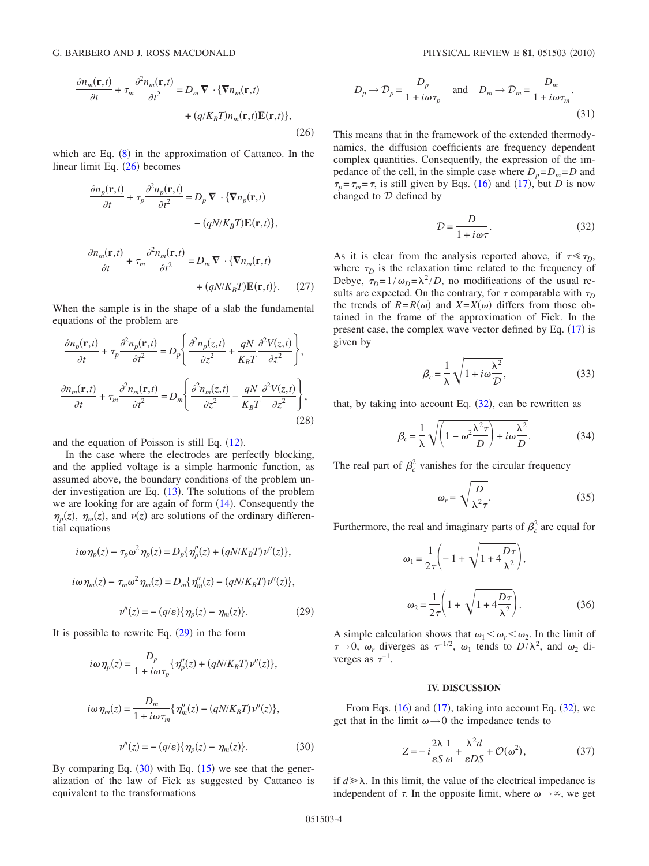$$
\frac{\partial n_m(\mathbf{r},t)}{\partial t} + \tau_m \frac{\partial^2 n_m(\mathbf{r},t)}{\partial t^2} = D_m \nabla \cdot \{\nabla n_m(\mathbf{r},t) + (q/K_B T)n_m(\mathbf{r},t)\mathbf{E}(\mathbf{r},t)\},\tag{26}
$$

which are Eq.  $(8)$  $(8)$  $(8)$  in the approximation of Cattaneo. In the linear limit Eq.  $(26)$  $(26)$  $(26)$  becomes

$$
\frac{\partial n_p(\mathbf{r},t)}{\partial t} + \tau_p \frac{\partial^2 n_p(\mathbf{r},t)}{\partial t^2} = D_p \nabla \cdot \{\nabla n_p(\mathbf{r},t) - (qN/K_B T)\mathbf{E}(\mathbf{r},t)\},
$$

$$
- (qN/K_B T)\mathbf{E}(\mathbf{r},t)\},
$$

$$
\frac{\partial n_m(\mathbf{r},t)}{\partial t} + \tau_m \frac{\partial^2 n_m(\mathbf{r},t)}{\partial t^2} = D_m \nabla \cdot \{\nabla n_m(\mathbf{r},t) - (qN/K_B T)\mathbf{E}(\mathbf{r},t)\}.
$$
(27)

When the sample is in the shape of a slab the fundamental equations of the problem are

$$
\frac{\partial n_p(\mathbf{r},t)}{\partial t} + \tau_p \frac{\partial^2 n_p(\mathbf{r},t)}{\partial t^2} = D_p \left\{ \frac{\partial^2 n_p(z,t)}{\partial z^2} + \frac{qN}{K_B T} \frac{\partial^2 V(z,t)}{\partial z^2} \right\},\
$$

$$
\frac{\partial n_m(\mathbf{r},t)}{\partial t} + \tau_m \frac{\partial^2 n_m(\mathbf{r},t)}{\partial t^2} = D_m \left\{ \frac{\partial^2 n_m(z,t)}{\partial z^2} - \frac{qN}{K_B T} \frac{\partial^2 V(z,t)}{\partial z^2} \right\},\
$$
(28)

and the equation of Poisson is still Eq.  $(12)$  $(12)$  $(12)$ .

In the case where the electrodes are perfectly blocking, and the applied voltage is a simple harmonic function, as assumed above, the boundary conditions of the problem under investigation are Eq.  $(13)$  $(13)$  $(13)$ . The solutions of the problem we are looking for are again of form  $(14)$  $(14)$  $(14)$ . Consequently the  $\eta_p(z)$ ,  $\eta_m(z)$ , and  $\nu(z)$  are solutions of the ordinary differential equations

<span id="page-3-1"></span>
$$
i\omega \eta_p(z) - \tau_p \omega^2 \eta_p(z) = D_p\{\eta_p''(z) + (qN/K_B T)\nu''(z)\},
$$
  
\n
$$
i\omega \eta_m(z) - \tau_m \omega^2 \eta_m(z) = D_m\{\eta_m''(z) - (qN/K_B T)\nu''(z)\},
$$
  
\n
$$
\nu''(z) = -(q/\varepsilon)\{\eta_p(z) - \eta_m(z)\}.
$$
 (29)

<span id="page-3-2"></span>It is possible to rewrite Eq.  $(29)$  $(29)$  $(29)$  in the form

$$
i\omega \eta_p(z) = \frac{D_p}{1 + i\omega \tau_p} \{ \eta_p''(z) + (qN/K_B T) \nu''(z) \},
$$
  
\n
$$
i\omega \eta_m(z) = \frac{D_m}{1 + i\omega \tau_m} \{ \eta_m''(z) - (qN/K_B T) \nu''(z) \},
$$
  
\n
$$
\nu''(z) = -(q/\varepsilon) \{ \eta_p(z) - \eta_m(z) \}.
$$
 (30)

By comparing Eq.  $(30)$  $(30)$  $(30)$  with Eq.  $(15)$  $(15)$  $(15)$  we see that the generalization of the law of Fick as suggested by Cattaneo is equivalent to the transformations

$$
D_p \to \mathcal{D}_p = \frac{D_p}{1 + i\omega \tau_p} \quad \text{and} \quad D_m \to \mathcal{D}_m = \frac{D_m}{1 + i\omega \tau_m}.
$$
\n(31)

This means that in the framework of the extended thermodynamics, the diffusion coefficients are frequency dependent complex quantities. Consequently, the expression of the impedance of the cell, in the simple case where  $D_p = D_m = D$  and  $\tau_p = \tau_m = \tau$ , is still given by Eqs. ([16](#page-2-1)) and ([17](#page-2-2)), but *D* is now changed to  $D$  defined by

$$
\mathcal{D} = \frac{D}{1 + i\omega\tau}.\tag{32}
$$

<span id="page-3-3"></span>As it is clear from the analysis reported above, if  $\tau \ll \tau_D$ , where  $\tau_D$  is the relaxation time related to the frequency of Debye,  $\tau_D = 1/\omega_D = \lambda^2/D$ , no modifications of the usual results are expected. On the contrary, for  $\tau$  comparable with  $\tau_D$ the trends of  $R = R(\omega)$  and  $X = X(\omega)$  differs from those obtained in the frame of the approximation of Fick. In the present case, the complex wave vector defined by Eq.  $(17)$  $(17)$  $(17)$  is given by

$$
\beta_c = \frac{1}{\lambda} \sqrt{1 + i \omega \frac{\lambda^2}{D}},
$$
\n(33)

that, by taking into account Eq.  $(32)$  $(32)$  $(32)$ , can be rewritten as

$$
\beta_c = \frac{1}{\lambda} \sqrt{\left(1 - \omega^2 \frac{\lambda^2 \tau}{D}\right) + i \omega \frac{\lambda^2}{D}}.
$$
\n(34)

<span id="page-3-4"></span>The real part of  $\beta_c^2$  vanishes for the circular frequency

$$
\omega_r = \sqrt{\frac{D}{\lambda^2 \tau}}.\tag{35}
$$

Furthermore, the real and imaginary parts of  $\beta_c^2$  are equal for

$$
\omega_1 = \frac{1}{2\tau} \left( -1 + \sqrt{1 + 4\frac{D\tau}{\lambda^2}} \right),
$$
  

$$
\omega_2 = \frac{1}{2\tau} \left( 1 + \sqrt{1 + 4\frac{D\tau}{\lambda^2}} \right).
$$
 (36)

A simple calculation shows that  $\omega_1 < \omega_r < \omega_2$ . In the limit of  $\tau \rightarrow 0$ ,  $\omega_r$  diverges as  $\tau^{-1/2}$ ,  $\omega_1$  tends to  $D/\lambda^2$ , and  $\omega_2$  diverges as  $\tau^{-1}$ .

### **IV. DISCUSSION**

<span id="page-3-0"></span>From Eqs.  $(16)$  $(16)$  $(16)$  and  $(17)$  $(17)$  $(17)$ , taking into account Eq.  $(32)$  $(32)$  $(32)$ , we get that in the limit  $\omega \rightarrow 0$  the impedance tends to

$$
Z = -i\frac{2\lambda}{\varepsilon S} \frac{1}{\omega} + \frac{\lambda^2 d}{\varepsilon DS} + \mathcal{O}(\omega^2),\tag{37}
$$

if  $d \ge \lambda$ . In this limit, the value of the electrical impedance is independent of  $\tau$ . In the opposite limit, where  $\omega \rightarrow \infty$ , we get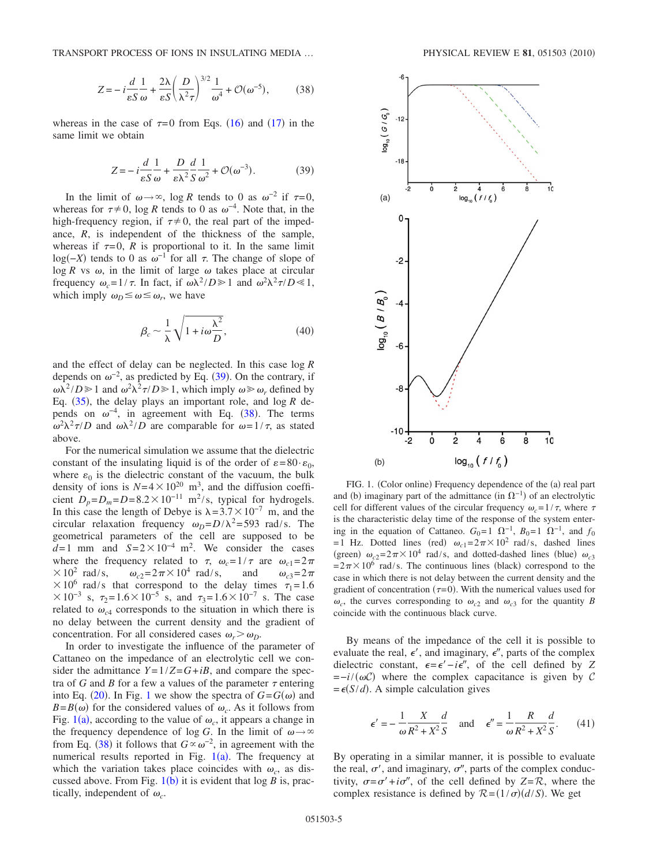<span id="page-4-1"></span>TRANSPORT PROCESS OF IONS IN INSULATING MEDIA ...

$$
Z = -i\frac{d}{\varepsilon S} \frac{1}{\omega} + \frac{2\lambda}{\varepsilon S} \left(\frac{D}{\lambda^2 \tau}\right)^{3/2} \frac{1}{\omega^4} + \mathcal{O}(\omega^{-5}),\tag{38}
$$

<span id="page-4-0"></span>whereas in the case of  $\tau = 0$  from Eqs. ([16](#page-2-1)) and ([17](#page-2-2)) in the same limit we obtain

$$
Z = -i\frac{d}{\varepsilon S} \frac{1}{\omega} + \frac{D}{\varepsilon \lambda^2} \frac{d}{S} \frac{1}{\omega^2} + \mathcal{O}(\omega^{-3}).
$$
 (39)

In the limit of  $\omega \rightarrow \infty$ , log *R* tends to 0 as  $\omega^{-2}$  if  $\tau = 0$ , whereas for  $\tau \neq 0$ , log *R* tends to 0 as  $\omega^{-4}$ . Note that, in the high-frequency region, if  $\tau \neq 0$ , the real part of the impedance, *R*, is independent of the thickness of the sample, whereas if  $\tau = 0$ , *R* is proportional to it. In the same limit log( $-X$ ) tends to 0 as  $\omega^{-1}$  for all  $\tau$ . The change of slope of  $\log R$  vs  $\omega$ , in the limit of large  $\omega$  takes place at circular frequency  $\omega_c = 1/\tau$ . In fact, if  $\omega \lambda^2 / D \ge 1$  and  $\omega^2 \lambda^2 \tau / D \le 1$ , which imply  $\omega_D \leq \omega \leq \omega_r$ , we have

$$
\beta_c \sim \frac{1}{\lambda} \sqrt{1 + i \omega \frac{\lambda^2}{D}},\tag{40}
$$

and the effect of delay can be neglected. In this case log *R* depends on  $\omega^{-2}$ , as predicted by Eq. ([39](#page-4-0)). On the contrary, if  $\omega \lambda^2/D \ge 1$  and  $\omega^2 \lambda^2 \tau/D \ge 1$ , which imply  $\omega \ge \omega_r$ , defined by Eq.  $(35)$  $(35)$  $(35)$ , the delay plays an important role, and log  $R$  depends on  $\omega^{-4}$ , in agreement with Eq. ([38](#page-4-1)). The terms  $\omega^2 \lambda^2 \tau / D$  and  $\omega \lambda^2 / D$  are comparable for  $\omega = 1 / \tau$ , as stated above.

For the numerical simulation we assume that the dielectric constant of the insulating liquid is of the order of  $\varepsilon = 80 \cdot \varepsilon_0$ , where  $\varepsilon_0$  is the dielectric constant of the vacuum, the bulk density of ions is  $N=4\times10^{20}$  m<sup>3</sup>, and the diffusion coefficient  $D_p = D_m = D = 8.2 \times 10^{-11}$  m<sup>2</sup>/s, typical for hydrogels. In this case the length of Debye is  $\lambda = 3.7 \times 10^{-7}$  m, and the circular relaxation frequency  $\omega_D = D/\lambda^2 = 593$  rad/s. The geometrical parameters of the cell are supposed to be  $d=1$  mm and  $S=2\times10^{-4}$  m<sup>2</sup>. We consider the cases where the frequency related to  $\tau$ ,  $\omega_c = 1/\tau$  are  $\omega_{c1} = 2\pi$  $\times 10^2$  rad/s,  $\omega_{c2} = 2\pi \times 10^4$  rad/s, and  $\omega_{c3} = 2\pi$  $\times 10^6$  rad/s that correspond to the delay times  $\tau_1 = 1.6$  $\times 10^{-3}$  s,  $\tau_2 = 1.6 \times 10^{-5}$  s, and  $\tau_3 = 1.6 \times 10^{-7}$  s. The case related to  $\omega_{c4}$  corresponds to the situation in which there is no delay between the current density and the gradient of concentration. For all considered cases  $\omega_r > \omega_D$ .

In order to investigate the influence of the parameter of Cattaneo on the impedance of an electrolytic cell we consider the admittance  $Y=1/Z=G+iB$ , and compare the spectra of *G* and *B* for a few a values of the parameter  $\tau$  entering into Eq. ([20](#page-2-3)). In Fig. [1](#page-4-2) we show the spectra of  $G = G(\omega)$  and  $B = B(\omega)$  for the considered values of  $\omega_c$ . As it follows from Fig. [1](#page-4-2)(a), according to the value of  $\omega_c$ , it appears a change in the frequency dependence of log *G*. In the limit of  $\omega \rightarrow \infty$ from Eq. ([38](#page-4-1)) it follows that  $G \propto \omega^{-2}$ , in agreement with the numerical results reported in Fig.  $1(a)$  $1(a)$ . The frequency at which the variation takes place coincides with  $\omega_c$ , as discussed above. From Fig.  $1(b)$  $1(b)$  it is evident that  $log B$  is, practically, independent of  $\omega_c$ .

<span id="page-4-2"></span>

FIG. 1. (Color online) Frequency dependence of the (a) real part and (b) imaginary part of the admittance (in  $\Omega^{-1}$ ) of an electrolytic cell for different values of the circular frequency  $\omega_c = 1/\tau$ , where  $\tau$ is the characteristic delay time of the response of the system entering in the equation of Cattaneo.  $G_0=1$   $\Omega^{-1}$ ,  $B_0=1$   $\Omega^{-1}$ , and  $f_0$ = 1 Hz. Dotted lines (red)  $\omega_{c1} = 2\pi \times 10^2$  rad/s, dashed lines (green)  $\omega_{c2} = 2\pi \times 10^4$  rad/s, and dotted-dashed lines (blue)  $\omega_{c3}$  $= 2\pi \times 10^6$  rad/s. The continuous lines (black) correspond to the case in which there is not delay between the current density and the gradient of concentration ( $\tau$ =0). With the numerical values used for  $\omega_c$ , the curves corresponding to  $\omega_{c2}$  and  $\omega_{c3}$  for the quantity *B* coincide with the continuous black curve.

By means of the impedance of the cell it is possible to evaluate the real,  $\epsilon'$ , and imaginary,  $\epsilon''$ , parts of the complex dielectric constant,  $\epsilon = \epsilon' - i\epsilon''$ , of the cell defined by *Z*  $=-i/(\omega C)$  where the complex capacitance is given by C  $= \epsilon(S/d)$ . A simple calculation gives

<span id="page-4-3"></span>
$$
\epsilon' = -\frac{1}{\omega} \frac{X}{R^2 + X^2} \frac{d}{S} \quad \text{and} \quad \epsilon'' = \frac{1}{\omega} \frac{R}{R^2 + X^2} \frac{d}{S}.
$$
 (41)

By operating in a similar manner, it is possible to evaluate the real,  $\sigma'$ , and imaginary,  $\sigma''$ , parts of the complex conductivity,  $\sigma = \sigma' + i\sigma''$ , of the cell defined by  $Z = \mathcal{R}$ , where the complex resistance is defined by  $\mathcal{R} = (1/\sigma)(d/S)$ . We get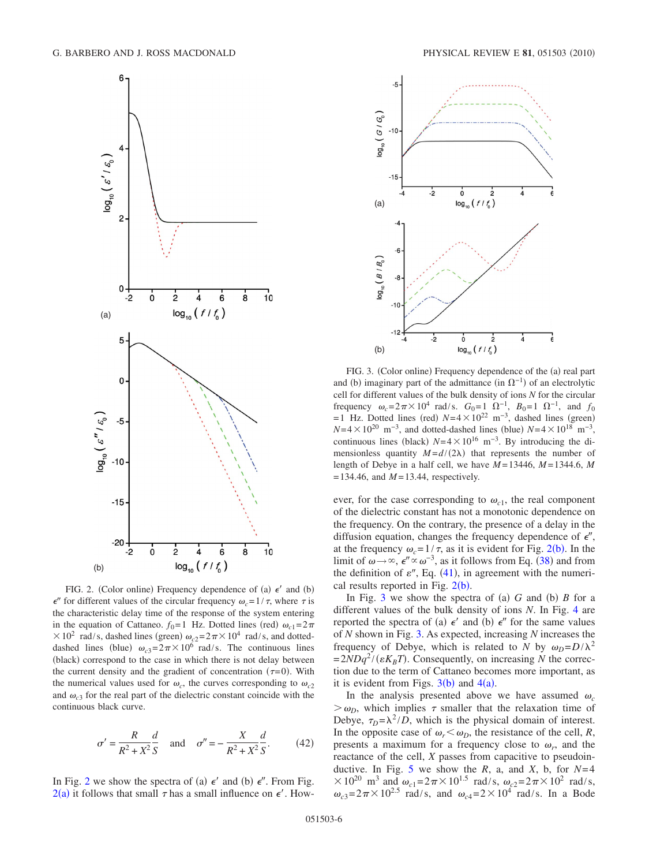<span id="page-5-0"></span>

FIG. 2. (Color online) Frequency dependence of (a)  $\epsilon'$  and (b)  $\epsilon''$  for different values of the circular frequency  $\omega_c = 1/\tau$ , where  $\tau$  is the characteristic delay time of the response of the system entering in the equation of Cattaneo.  $f_0 = 1$  Hz. Dotted lines (red)  $\omega_{c1} = 2\pi$  $\times 10^2$  rad/s, dashed lines (green)  $\omega_{c2} = 2\pi \times 10^4$  rad/s, and dotteddashed lines (blue)  $\omega_{c3} = 2\pi \times 10^6$  rad/s. The continuous lines (black) correspond to the case in which there is not delay between the current density and the gradient of concentration  $(\tau=0)$ . With the numerical values used for  $\omega_c$ , the curves corresponding to  $\omega_{c2}$ and  $\omega_{c3}$  for the real part of the dielectric constant coincide with the continuous black curve.

$$
\sigma' = \frac{R}{R^2 + X^2} \frac{d}{S} \quad \text{and} \quad \sigma'' = -\frac{X}{R^2 + X^2} \frac{d}{S}.
$$
 (42)

In Fig. [2](#page-5-0) we show the spectra of (a)  $\epsilon'$  and (b)  $\epsilon''$ . From Fig.  $2(a)$  $2(a)$  it follows that small  $\tau$  has a small influence on  $\epsilon'$ . How-

<span id="page-5-1"></span>

FIG. 3. (Color online) Frequency dependence of the (a) real part and (b) imaginary part of the admittance (in  $\Omega^{-1}$ ) of an electrolytic cell for different values of the bulk density of ions *N* for the circular frequency  $\omega_c = 2\pi \times 10^4$  rad/s.  $G_0 = 1 \Omega^{-1}$ ,  $B_0 = 1 \Omega^{-1}$ , and  $f_0$  $= 1$  Hz. Dotted lines (red)  $N= 4 \times 10^{22}$  m<sup>-3</sup>, dashed lines (green)  $N=4\times10^{20}$  m<sup>-3</sup>, and dotted-dashed lines (blue)  $N=4\times10^{18}$  m<sup>-3</sup>, continuous lines (black)  $N=4\times10^{16}$  m<sup>-3</sup>. By introducing the dimensionless quantity  $M = d/(2\lambda)$  that represents the number of length of Debye in a half cell, we have  $M = 13446$ ,  $M = 1344.6$ , M  $= 134.46$ , and  $M = 13.44$ , respectively.

ever, for the case corresponding to  $\omega_{c1}$ , the real component of the dielectric constant has not a monotonic dependence on the frequency. On the contrary, the presence of a delay in the diffusion equation, changes the frequency dependence of  $\epsilon''$ , at the frequency  $\omega_c = 1/\tau$ , as it is evident for Fig. [2](#page-5-0)(b). In the limit of  $\omega \to \infty$ ,  $\epsilon'' \propto \omega^{-3}$ , as it follows from Eq. ([38](#page-4-1)) and from the definition of  $\varepsilon''$ , Eq. ([41](#page-4-3)), in agreement with the numerical results reported in Fig.  $2(b)$  $2(b)$ .

In Fig. [3](#page-5-1) we show the spectra of (a)  $G$  and (b)  $B$  for a different values of the bulk density of ions *N*. In Fig. [4](#page-6-0) are reported the spectra of (a)  $\epsilon'$  and (b)  $\epsilon''$  for the same values of *N* shown in Fig. [3.](#page-5-1) As expected, increasing *N* increases the frequency of Debye, which is related to *N* by  $\omega_D = D/\lambda^2$  $= 2NDq^2/(\varepsilon K_B T)$ . Consequently, on increasing *N* the correction due to the term of Cattaneo becomes more important, as it is evident from Figs.  $3(b)$  $3(b)$  and  $4(a)$  $4(a)$ .

In the analysis presented above we have assumed  $\omega_c$  $> \omega_D$ , which implies  $\tau$  smaller that the relaxation time of Debye,  $\tau_D = \lambda^2/D$ , which is the physical domain of interest. In the opposite case of  $\omega_r < \omega_D$ , the resistance of the cell, *R*, presents a maximum for a frequency close to  $\omega_r$ , and the reactance of the cell, *X* passes from capacitive to pseudoin-ductive. In Fig. [5](#page-6-1) we show the  $R$ , a, and  $X$ , b, for  $N=4$  $\times 10^{20}$  m<sup>3</sup> and  $\omega_{c1} = 2\pi \times 10^{1.5}$  rad/s,  $\omega_{c2} = 2\pi \times 10^{2}$  rad/s,  $\omega_{c3} = 2\pi \times 10^{2.5}$  rad/s, and  $\omega_{c4} = 2 \times 10^{4}$  rad/s. In a Bode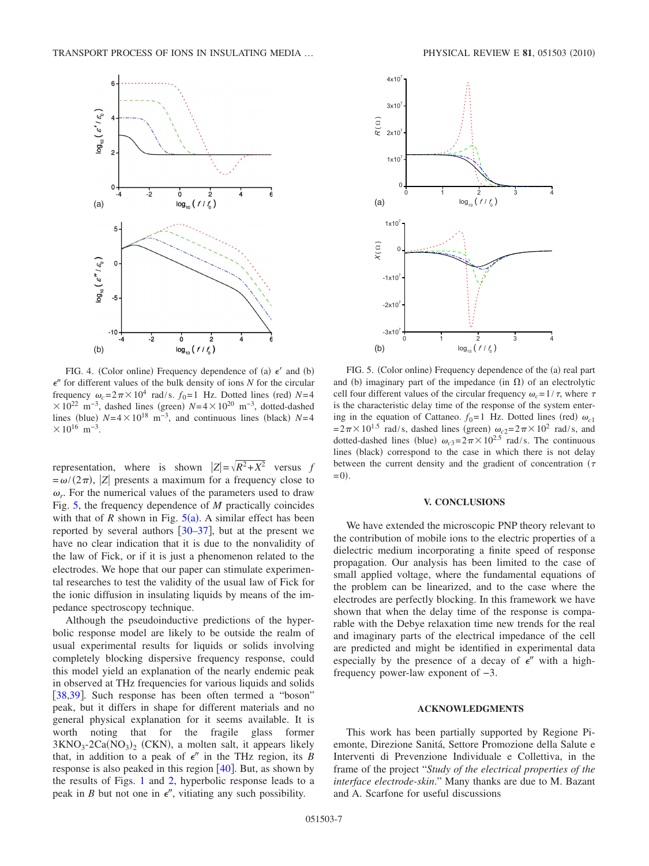<span id="page-6-0"></span>

FIG. 4. (Color online) Frequency dependence of (a)  $\epsilon'$  and (b)  $\epsilon$ <sup>*r*</sup> for different values of the bulk density of ions *N* for the circular frequency  $\omega_c = 2\pi \times 10^4$  rad/s.  $f_0 = 1$  Hz. Dotted lines (red)  $N = 4$  $\times 10^{22}$  m<sup>-3</sup>, dashed lines (green)  $N=4\times10^{20}$  m<sup>-3</sup>, dotted-dashed lines (blue)  $N=4\times10^{18}$  m<sup>-3</sup>, and continuous lines (black)  $N=4$  $\times 10^{16}$  m<sup>-3</sup>.

representation, where is shown  $|Z| = \sqrt{R^2 + X^2}$  versus *f*  $=\omega/(2\pi)$ ,  $|Z|$  presents a maximum for a frequency close to  $\omega_r$ . For the numerical values of the parameters used to draw Fig. [5,](#page-6-1) the frequency dependence of *M* practically coincides with that of *R* shown in Fig.  $5(a)$  $5(a)$ . A similar effect has been reported by several authors  $\left[30-37\right]$  $\left[30-37\right]$  $\left[30-37\right]$ , but at the present we have no clear indication that it is due to the nonvalidity of the law of Fick, or if it is just a phenomenon related to the electrodes. We hope that our paper can stimulate experimental researches to test the validity of the usual law of Fick for the ionic diffusion in insulating liquids by means of the impedance spectroscopy technique.

Although the pseudoinductive predictions of the hyperbolic response model are likely to be outside the realm of usual experimental results for liquids or solids involving completely blocking dispersive frequency response, could this model yield an explanation of the nearly endemic peak in observed at THz frequencies for various liquids and solids [[38](#page-7-24)[,39](#page-7-25)]. Such response has been often termed a "boson" peak, but it differs in shape for different materials and no general physical explanation for it seems available. It is worth noting that for the fragile glass former  $3KNO_3$ -2Ca(NO<sub>3</sub>)<sub>2</sub> (CKN), a molten salt, it appears likely that, in addition to a peak of  $\epsilon''$  in the THz region, its *B* response is also peaked in this region  $[40]$  $[40]$  $[40]$ . But, as shown by the results of Figs. [1](#page-4-2) and [2,](#page-5-0) hyperbolic response leads to a peak in *B* but not one in  $\epsilon''$ , vitiating any such possibility.

<span id="page-6-1"></span>

FIG. 5. (Color online) Frequency dependence of the (a) real part and (b) imaginary part of the impedance (in  $\Omega$ ) of an electrolytic cell four different values of the circular frequency  $\omega_c = 1/\tau$ , where  $\tau$ is the characteristic delay time of the response of the system entering in the equation of Cattaneo.  $f_0 = 1$  Hz. Dotted lines (red)  $\omega_{c1}$  $= 2\pi \times 10^{1.5}$  rad/s, dashed lines (green)  $\omega_{c2} = 2\pi \times 10^2$  rad/s, and dotted-dashed lines (blue)  $\omega_{c3} = 2\pi \times 10^{2.5}$  rad/s. The continuous lines (black) correspond to the case in which there is not delay between the current density and the gradient of concentration  $(\tau$  $= 0$ ).

# **V. CONCLUSIONS**

We have extended the microscopic PNP theory relevant to the contribution of mobile ions to the electric properties of a dielectric medium incorporating a finite speed of response propagation. Our analysis has been limited to the case of small applied voltage, where the fundamental equations of the problem can be linearized, and to the case where the electrodes are perfectly blocking. In this framework we have shown that when the delay time of the response is comparable with the Debye relaxation time new trends for the real and imaginary parts of the electrical impedance of the cell are predicted and might be identified in experimental data especially by the presence of a decay of  $\epsilon''$  with a highfrequency power-law exponent of −3.

# **ACKNOWLEDGMENTS**

This work has been partially supported by Regione Piemonte, Direzione Sanitá, Settore Promozione della Salute e Interventi di Prevenzione Individuale e Collettiva, in the frame of the project "*Study of the electrical properties of the interface electrode-skin*." Many thanks are due to M. Bazant and A. Scarfone for useful discussions